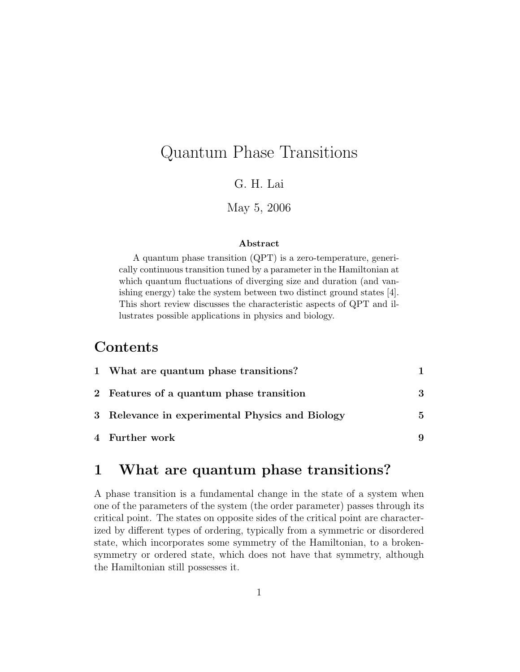# Quantum Phase Transitions

G. H. Lai

May 5, 2006

### Abstract

A quantum phase transition (QPT) is a zero-temperature, generically continuous transition tuned by a parameter in the Hamiltonian at which quantum fluctuations of diverging size and duration (and vanishing energy) take the system between two distinct ground states [4]. This short review discusses the characteristic aspects of QPT and illustrates possible applications in physics and biology.

### Contents

| 1 What are quantum phase transitions?           |   |
|-------------------------------------------------|---|
| 2 Features of a quantum phase transition        | 3 |
| 3 Relevance in experimental Physics and Biology | 5 |
| 4 Further work                                  | 9 |

## 1 What are quantum phase transitions?

A phase transition is a fundamental change in the state of a system when one of the parameters of the system (the order parameter) passes through its critical point. The states on opposite sides of the critical point are characterized by different types of ordering, typically from a symmetric or disordered state, which incorporates some symmetry of the Hamiltonian, to a brokensymmetry or ordered state, which does not have that symmetry, although the Hamiltonian still possesses it.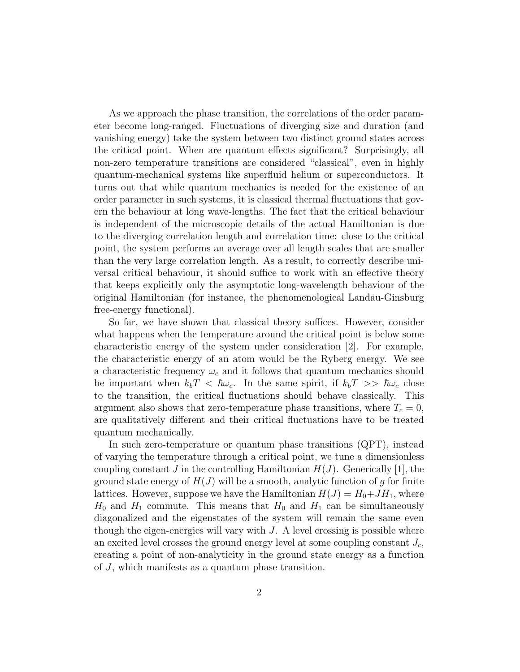As we approach the phase transition, the correlations of the order parameter become long-ranged. Fluctuations of diverging size and duration (and vanishing energy) take the system between two distinct ground states across the critical point. When are quantum effects significant? Surprisingly, all non-zero temperature transitions are considered "classical", even in highly quantum-mechanical systems like superfluid helium or superconductors. It turns out that while quantum mechanics is needed for the existence of an order parameter in such systems, it is classical thermal fluctuations that govern the behaviour at long wave-lengths. The fact that the critical behaviour is independent of the microscopic details of the actual Hamiltonian is due to the diverging correlation length and correlation time: close to the critical point, the system performs an average over all length scales that are smaller than the very large correlation length. As a result, to correctly describe universal critical behaviour, it should suffice to work with an effective theory that keeps explicitly only the asymptotic long-wavelength behaviour of the original Hamiltonian (for instance, the phenomenological Landau-Ginsburg free-energy functional).

So far, we have shown that classical theory suffices. However, consider what happens when the temperature around the critical point is below some characteristic energy of the system under consideration [2]. For example, the characteristic energy of an atom would be the Ryberg energy. We see a characteristic frequency  $\omega_c$  and it follows that quantum mechanics should be important when  $k_bT < \hbar\omega_c$ . In the same spirit, if  $k_bT >> \hbar\omega_c$  close to the transition, the critical fluctuations should behave classically. This argument also shows that zero-temperature phase transitions, where  $T_c = 0$ , are qualitatively different and their critical fluctuations have to be treated quantum mechanically.

In such zero-temperature or quantum phase transitions (QPT), instead of varying the temperature through a critical point, we tune a dimensionless coupling constant J in the controlling Hamiltonian  $H(J)$ . Generically [1], the ground state energy of  $H(J)$  will be a smooth, analytic function of g for finite lattices. However, suppose we have the Hamiltonian  $H(J) = H_0 + JH_1$ , where  $H_0$  and  $H_1$  commute. This means that  $H_0$  and  $H_1$  can be simultaneously diagonalized and the eigenstates of the system will remain the same even though the eigen-energies will vary with  $J$ . A level crossing is possible where an excited level crosses the ground energy level at some coupling constant  $J_c$ , creating a point of non-analyticity in the ground state energy as a function of J, which manifests as a quantum phase transition.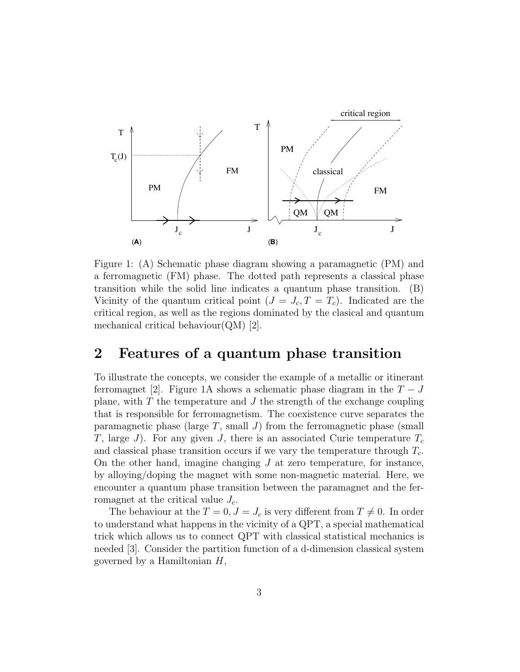

Figure 1: (A) Schematic phase diagram showing a paramagnetic (PM) and  $\alpha$  refromagnetic  $(\text{r} \text{m})$  phase. The dotrongiti Ution ty of the quantum critical point  $(I -$ Vicinity of the quantum critical point  $(J = J_c, T = T_c)$ . Indicated are the mechanical critical behaviour $(QM)$  [2]. a ferromagnetic (FM) phase. The dotted path represents a classical phase transition while the solid line indicates a quantum phase transition.  $(B)$  $\bar{1}$ ing the universality class, we expect the critical behavior at this quantum  $\bar{1}$ critical region, as well as the regions dominated by the clasical and quantum This brings us to the question of how continuity is guaranteed when one

#### $\Omega$   $\Gamma$  coture  $\Omega$  and property  $r$  $\boldsymbol{\mathcal{L}}$  - from the ferrom the feature  $\boldsymbol{\mathcal{L}}$  and  $\boldsymbol{\mathcal{L}}$  and  $\boldsymbol{\mathcal{L}}$  and  $\boldsymbol{\mathcal{L}}$  $\mathbf{Q}$ , also explains why the behavior at the  $\mathbf{Q}$ 2 Features of a quantum phase transition shows an enlarged section of the phase diagram near the quantum criti-

 $\tau$ given in and the concepts, we consider the example of  $\alpha$  $\frac{1}{2}$  ferromagnet  $\left[2\right]$ . Figure 1.4 shows a schemation  $\text{rctromagnetic}$  [ $\epsilon$ ].  $\text{r}$  by allowing with some number plane, with T the temperature and J the strength of the exchange coupling tion at the critical value Jc. This is the quantum phase transition we are interested in the control we have seen that the control intervalse that the control is, is, is, is, if  $\alpha$ paramagnetic phase (large  $T$ , small  $J$ ) from the ferromagnetic phase (small T, large J). For any given J, there is an associated Curie temperature  $T_c$ cal point. The critical region, i.e. the region in parameter space where the To illustrate the concepts, we consider the example of a metallic or itinerant  $\mathbf{F}$  the contraction that the contraction of the critical region is divided in the  $\mathbf{F}$ ferromagnet [2]. Figure 1A shows a schematic phase diagram in the  $T - J$  $T$  division between these two regions (shown as a dotted line in Fig. 2). that is responsible for ferromagnetism. The coexistence curve separates the and classical phase transition occurs if we vary the temperature through  $T_c$ . On the other hand, imagine changing  $J$  at zero temperature, for instance, by alloying/doping the magnet with some non-magnetic material. Here, we encounter a quantum phase transition between the paramagnet and the ferromagnet at the critical value  $J_c$ .

The behaviour at the  $T = 0, J = J_c$  is very different from  $T \neq 0$ . In order to understand what happens in the vicinity of a QPT, a special mathematical trick which allows us to connect QPT with classical statistical mechanics is needed [3]. Consider the partition function of a d-dimension classical system governed by a Hamiltonian  $H$ ,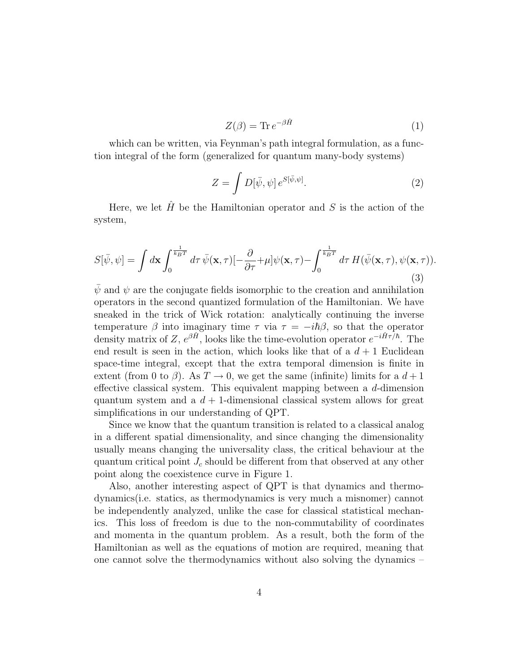$$
Z(\beta) = \text{Tr} \, e^{-\beta \hat{H}} \tag{1}
$$

which can be written, via Feynman's path integral formulation, as a function integral of the form (generalized for quantum many-body systems)

$$
Z = \int D[\bar{\psi}, \psi] e^{S[\bar{\psi}, \psi]}.
$$
 (2)

Here, we let  $\hat{H}$  be the Hamiltonian operator and S is the action of the system,

$$
S[\bar{\psi}, \psi] = \int d\mathbf{x} \int_0^{\frac{1}{k_B T}} d\tau \, \bar{\psi}(\mathbf{x}, \tau) \left[ -\frac{\partial}{\partial \tau} + \mu \right] \psi(\mathbf{x}, \tau) - \int_0^{\frac{1}{k_B T}} d\tau \, H(\bar{\psi}(\mathbf{x}, \tau), \psi(\mathbf{x}, \tau)). \tag{3}
$$

 $\bar{\psi}$  and  $\psi$  are the conjugate fields isomorphic to the creation and annihilation operators in the second quantized formulation of the Hamiltonian. We have sneaked in the trick of Wick rotation: analytically continuing the inverse temperature  $\beta$  into imaginary time  $\tau$  via  $\tau = -i\hbar\beta$ , so that the operator density matrix of Z,  $e^{\beta \hat{H}}$ , looks like the time-evolution operator  $e^{-i\hat{H}\tau/\hbar}$ . The end result is seen in the action, which looks like that of a  $d+1$  Euclidean space-time integral, except that the extra temporal dimension is finite in extent (from 0 to  $\beta$ ). As  $T \to 0$ , we get the same (infinite) limits for a  $d+1$ effective classical system. This equivalent mapping between a d-dimension quantum system and a  $d + 1$ -dimensional classical system allows for great simplifications in our understanding of QPT.

Since we know that the quantum transition is related to a classical analog in a different spatial dimensionality, and since changing the dimensionality usually means changing the universality class, the critical behaviour at the quantum critical point  $J_c$  should be different from that observed at any other point along the coexistence curve in Figure 1.

Also, another interesting aspect of QPT is that dynamics and thermodynamics(i.e. statics, as thermodynamics is very much a misnomer) cannot be independently analyzed, unlike the case for classical statistical mechanics. This loss of freedom is due to the non-commutability of coordinates and momenta in the quantum problem. As a result, both the form of the Hamiltonian as well as the equations of motion are required, meaning that one cannot solve the thermodynamics without also solving the dynamics –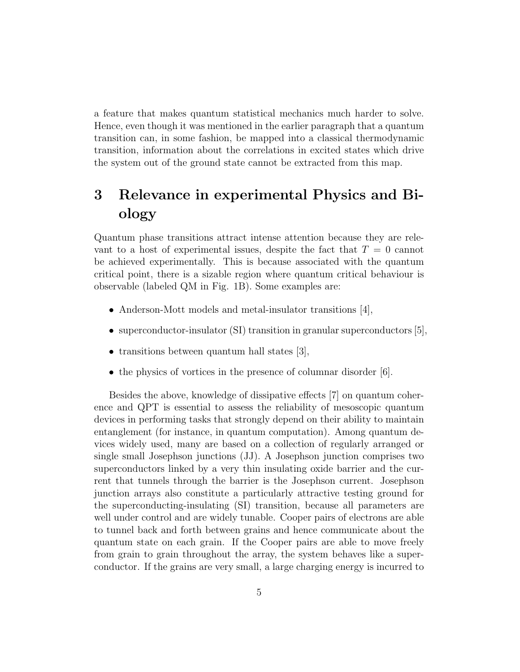a feature that makes quantum statistical mechanics much harder to solve. Hence, even though it was mentioned in the earlier paragraph that a quantum transition can, in some fashion, be mapped into a classical thermodynamic transition, information about the correlations in excited states which drive the system out of the ground state cannot be extracted from this map.

# 3 Relevance in experimental Physics and Biology

Quantum phase transitions attract intense attention because they are relevant to a host of experimental issues, despite the fact that  $T = 0$  cannot be achieved experimentally. This is because associated with the quantum critical point, there is a sizable region where quantum critical behaviour is observable (labeled QM in Fig. 1B). Some examples are:

- Anderson-Mott models and metal-insulator transitions [4],
- superconductor-insulator (SI) transition in granular superconductors [5],
- transitions between quantum hall states [3],
- the physics of vortices in the presence of columnar disorder [6].

Besides the above, knowledge of dissipative effects [7] on quantum coherence and QPT is essential to assess the reliability of mesoscopic quantum devices in performing tasks that strongly depend on their ability to maintain entanglement (for instance, in quantum computation). Among quantum devices widely used, many are based on a collection of regularly arranged or single small Josephson junctions (JJ). A Josephson junction comprises two superconductors linked by a very thin insulating oxide barrier and the current that tunnels through the barrier is the Josephson current. Josephson junction arrays also constitute a particularly attractive testing ground for the superconducting-insulating (SI) transition, because all parameters are well under control and are widely tunable. Cooper pairs of electrons are able to tunnel back and forth between grains and hence communicate about the quantum state on each grain. If the Cooper pairs are able to move freely from grain to grain throughout the array, the system behaves like a superconductor. If the grains are very small, a large charging energy is incurred to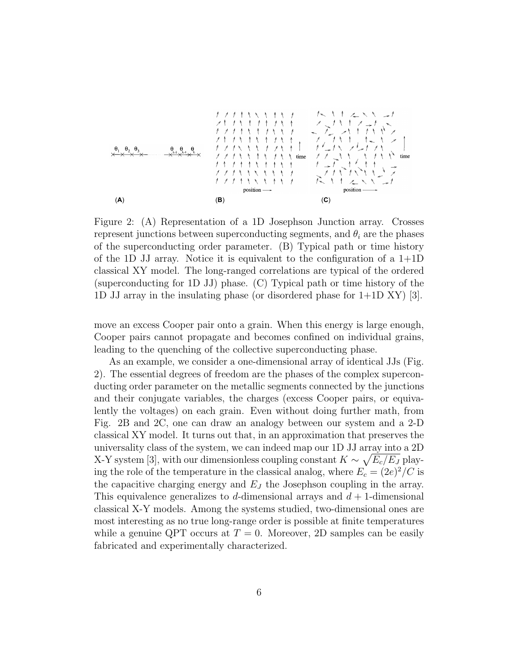

 $\Gamma$ *igure*  $\Omega$ ,  $(\Lambda)$  **D**<sub>operator *estion*</sub> Tiguie 2. (A) itepresentation represent junctions between superconducting segments, and  $\theta_i$  a f the superconducting order parameter. (B) Typical path or<br>f the 1D II cross. Notice it is conjuraled to the supercrise classical XY model. The long-ranged correlations are (superconducting for 1D JJ) phase. (C) Typical path or time history of the 1D JJ array in the insulating phase (or disordered phase for 1dequivalent to the configuration Figure 2: (A) Representation of a 1D Josephson Junction array. Crosses represent junctions between superconducting segments, and  $\theta_i$  are the phases of the superconducting order parameter. (B) Typical path or time history of the 1D JJ array. Notice it is equivalent to the con-(superconducting for 1D  $33$ ) phase. (O) Typical path of time instery of the<br>1D JJ array in the insulating phase (or disordered phase for  $1+1D XY$ ) [3]. of the 1D JJ array. Notice it is equivalent to the configuration of a  $1+1D$ classical XY model. The long-ranged correlations are typical of the ordered

move an excess Cooper pair onto a grain. When this energy is Cooper pairs cannot propagate and becomes confined on individual grains, leading to the quenching of the collective superconducting pha leading to the quence ess Cooper pair onto a grain. When this  $\epsilon$  $\frac{1}{2}$  leading to the quenching of the collective superconducting phase. move an excess Cooper pair onto a grain. When this energy is large enough,

total time interval fixed by the temperature of interest.

As an example, we consider a one-dimensional array of ident 2). The essential degrees of freedom are the phases of the complex superconducting order parameter on the metallic segments connected by and their conjugate variables, the charges (excess Co lently the voltages) on each g Fig. 2B and 2C, one can draw an analogy between our syste classical XY model. It turns out that, in an approximation that preserves the universality class of the system, we can indeed map our 1D JJ and  $Z-Y$  system [3], with our dimensionless coupling constant  $K \sim \sqrt{2}$  $\mu$  is the temperature in the classical analog, where  $E_c$ -&*mN*!*e*!#1/"\$)\**<sup>H</sup>*!*n*'. (5) the capacitive charging energy and  $E_J$  the Josephson coupling This equivalence generalizes to d-dimensional arrays and  $d+1$ -dimensional lently the voltages) on each grain. Even without doing further math, from classical X-Y models. Among the systems studied, two-dimensional ones are most interesting as no true long-range order is possible at finite temperatures while a genuine QPT occurs at  $T = 0$ . Moreover, 2D samples can be easily ducting order parameter on the metallic segments conn  $X-Y$  system [3], with our dimensionless coupling consta As an example, we consider a one-dimensional array of identical JJs (Fig. ing the role of the temperature in the classical analog, where  $E_c = (2e)^2/C$  is the capacitive charging energy and  $E_J$  the Josephson coupling in the array. ducting order parameter on the metallic segments connected by the junctions song Cooper roy  $\frac{1}{2}$  *C*<sub>2</sub> *C*<sub>2</sub> *C*<sub>2</sub> *C*<sub>2</sub> *C*<sub>2</sub> *C*<sub>2</sub> *C*<sub>2</sub> *C*<sub>2</sub> *C*<sub>2</sub> Fig. 2B and 2C, one can draw an analogy between our system and a 2-D and their conjugate variables, the charges (excess Cooper pairs, or equivauniversality class of the system, we can indeed map our 1D JJ array into a 2D X-Y system [3], with our dimensionless coupling constant  $K \sim \sqrt{E_c/E_J}$  playfabricated and experimentally characterized.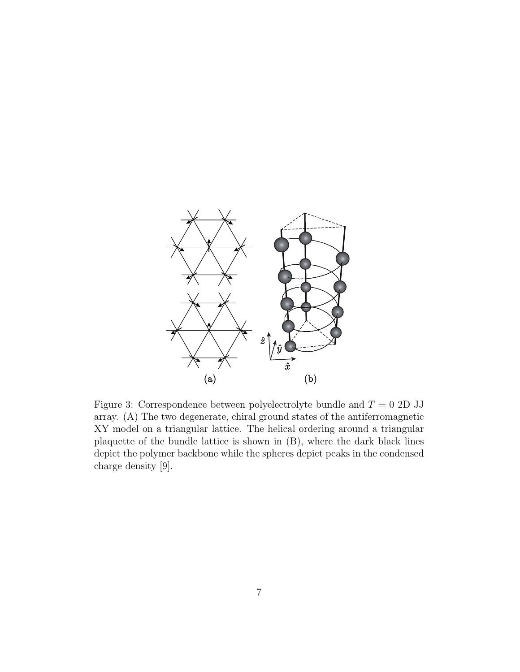

 $XY$  model on a triangular lattice. The helical ordering around  $\frac{1}{1-\mu}$ plaquette of the bundle lattice is shown in  $(B)$ , where the dark black lines depict the polymer backbone while the spheres depict peaks in the condensed Figure 3: Correspondence between polyelectrolyte bundle and  $T = 0$  2D JJ array. (A) The two degenerate, chiral ground states of the antiferromagnetic  $XY$  model on a triangular lattice. The helical ordering around a triangular lattice. charge density [9].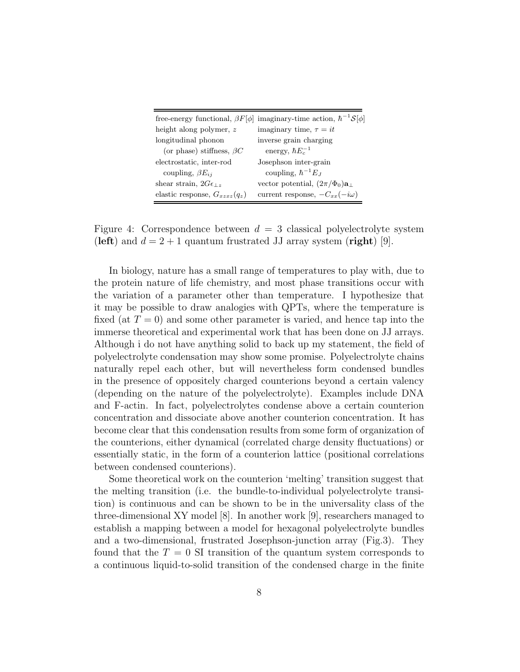|                                   | free-energy functional, $\beta F[\phi]$ imaginary-time action, $\hbar^{-1}S[\phi]$ |
|-----------------------------------|------------------------------------------------------------------------------------|
| height along polymer, z           | imaginary time, $\tau = it$                                                        |
| longitudinal phonon               | inverse grain charging                                                             |
| (or phase) stiffness, $\beta C$   | energy, $\hbar E_c^{-1}$                                                           |
| electrostatic, inter-rod          | Josephson inter-grain                                                              |
| coupling, $\beta E_{ii}$          | coupling, $\hbar^{-1}E_J$                                                          |
| shear strain, $2G\epsilon_{1z}$   | vector potential, $(2\pi/\Phi_0)\mathbf{a}_{\perp}$                                |
| elastic response, $G_{xzxz}(q_z)$ | current response, $-C_{xx}(-i\omega)$                                              |

Figure 4: Correspondence between  $d = 3$  classical polyelectrolyte system (left) and  $d = 2 + 1$  quantum frustrated JJ array system (right) [9].

In biology, nature has a small range of temperatures to play with, due to the protein nature of life chemistry, and most phase transitions occur with the variation of a parameter other than temperature. I hypothesize that it may be possible to draw analogies with QPTs, where the temperature is fixed (at  $T = 0$ ) and some other parameter is varied, and hence tap into the immerse theoretical and experimental work that has been done on JJ arrays. Although i do not have anything solid to back up my statement, the field of polyelectrolyte condensation may show some promise. Polyelectrolyte chains naturally repel each other, but will nevertheless form condensed bundles in the presence of oppositely charged counterions beyond a certain valency (depending on the nature of the polyelectrolyte). Examples include DNA and F-actin. In fact, polyelectrolytes condense above a certain counterion concentration and dissociate above another counterion concentration. It has become clear that this condensation results from some form of organization of the counterions, either dynamical (correlated charge density fluctuations) or essentially static, in the form of a counterion lattice (positional correlations between condensed counterions).

Some theoretical work on the counterion 'melting' transition suggest that the melting transition (i.e. the bundle-to-individual polyelectrolyte transition) is continuous and can be shown to be in the universality class of the three-dimensional XY model [8]. In another work [9], researchers managed to establish a mapping between a model for hexagonal polyelectrolyte bundles and a two-dimensional, frustrated Josephson-junction array (Fig.3). They found that the  $T = 0$  SI transition of the quantum system corresponds to a continuous liquid-to-solid transition of the condensed charge in the finite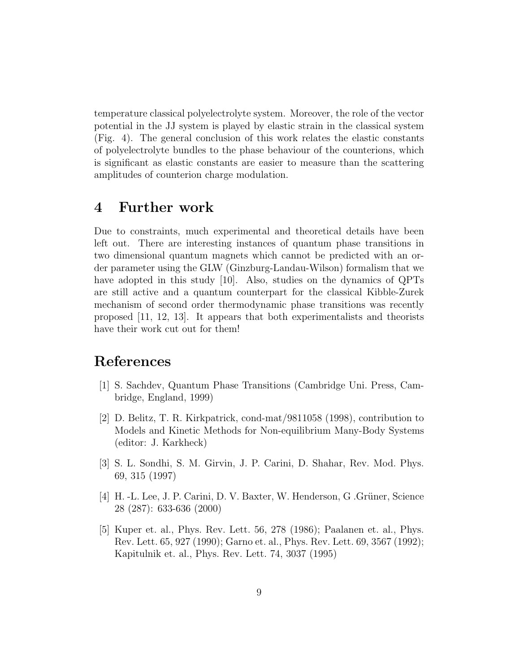temperature classical polyelectrolyte system. Moreover, the role of the vector potential in the JJ system is played by elastic strain in the classical system (Fig. 4). The general conclusion of this work relates the elastic constants of polyelectrolyte bundles to the phase behaviour of the counterions, which is significant as elastic constants are easier to measure than the scattering amplitudes of counterion charge modulation.

### 4 Further work

Due to constraints, much experimental and theoretical details have been left out. There are interesting instances of quantum phase transitions in two dimensional quantum magnets which cannot be predicted with an order parameter using the GLW (Ginzburg-Landau-Wilson) formalism that we have adopted in this study [10]. Also, studies on the dynamics of QPTs are still active and a quantum counterpart for the classical Kibble-Zurek mechanism of second order thermodynamic phase transitions was recently proposed [11, 12, 13]. It appears that both experimentalists and theorists have their work cut out for them!

# References

- [1] S. Sachdev, Quantum Phase Transitions (Cambridge Uni. Press, Cambridge, England, 1999)
- [2] D. Belitz, T. R. Kirkpatrick, cond-mat/9811058 (1998), contribution to Models and Kinetic Methods for Non-equilibrium Many-Body Systems (editor: J. Karkheck)
- [3] S. L. Sondhi, S. M. Girvin, J. P. Carini, D. Shahar, Rev. Mod. Phys. 69, 315 (1997)
- [4] H. -L. Lee, J. P. Carini, D. V. Baxter, W. Henderson, G. Grüner, Science 28 (287): 633-636 (2000)
- [5] Kuper et. al., Phys. Rev. Lett. 56, 278 (1986); Paalanen et. al., Phys. Rev. Lett. 65, 927 (1990); Garno et. al., Phys. Rev. Lett. 69, 3567 (1992); Kapitulnik et. al., Phys. Rev. Lett. 74, 3037 (1995)